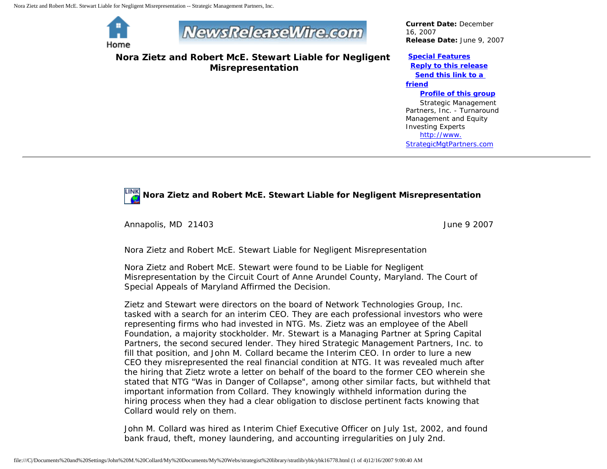Nora Zietz and Robert McE. Stewart Liable for Negligent Misrepresentation -- Strategic Management Partners, Inc.



# **NewsReleaseWire.com**

**Nora Zietz and Robert McE. Stewart Liable for Negligent Misrepresentation**

*Current Date:* December 16, 2007 *Release Date:* June 9, 2007

### **[Special Features](javascript:openlittleme()**

 **[Reply to this release](file:///C|/Documents%20and%20Settings/John%20M.%20Collard/My%20Documents/My%20Webs/strategist%20library/stratlib/ybk/default.cfm?Action=ReplyRelease&Id=16778) [Send this link to a](file:///C|/Documents%20and%20Settings/John%20M.%20Collard/My%20Documents/My%20Webs/strategist%20library/stratlib/ybk/default.cfm?Action=SendLink&SendId=16778)** 

#### **[friend](file:///C|/Documents%20and%20Settings/John%20M.%20Collard/My%20Documents/My%20Webs/strategist%20library/stratlib/ybk/default.cfm?Action=SendLink&SendId=16778)**

#### **[Profile of this group](file:///C|/Documents%20and%20Settings/John%20M.%20Collard/My%20Documents/My%20Webs/strategist%20library/stratlib/ybk/default.cfm?Action=Profile&ProfileId=623)**

 Strategic Management Partners, Inc. - Turnaround Management and Equity Investing Experts [http://www.](http://www.strategicmgtpartners.com/) [StrategicMgtPartners.com](http://www.strategicmgtpartners.com/)

## **Nora Zietz and Robert McE. Stewart Liable for Negligent Misrepresentation**

Annapolis, MD 21403 June 9 2007

Nora Zietz and Robert McE. Stewart Liable for Negligent Misrepresentation

Nora Zietz and Robert McE. Stewart were found to be Liable for Negligent Misrepresentation by the Circuit Court of Anne Arundel County, Maryland. The Court of Special Appeals of Maryland Affirmed the Decision.

Zietz and Stewart were directors on the board of Network Technologies Group, Inc. tasked with a search for an interim CEO. They are each professional investors who were representing firms who had invested in NTG. Ms. Zietz was an employee of the Abell Foundation, a majority stockholder. Mr. Stewart is a Managing Partner at Spring Capital Partners, the second secured lender. They hired Strategic Management Partners, Inc. to fill that position, and John M. Collard became the Interim CEO. In order to lure a new CEO they misrepresented the real financial condition at NTG. It was revealed much after the hiring that Zietz wrote a letter on behalf of the board to the former CEO wherein she stated that NTG "Was in Danger of Collapse", among other similar facts, but withheld that important information from Collard. They knowingly withheld information during the hiring process when they had a clear obligation to disclose pertinent facts knowing that Collard would rely on them.

John M. Collard was hired as Interim Chief Executive Officer on July 1st, 2002, and found bank fraud, theft, money laundering, and accounting irregularities on July 2nd.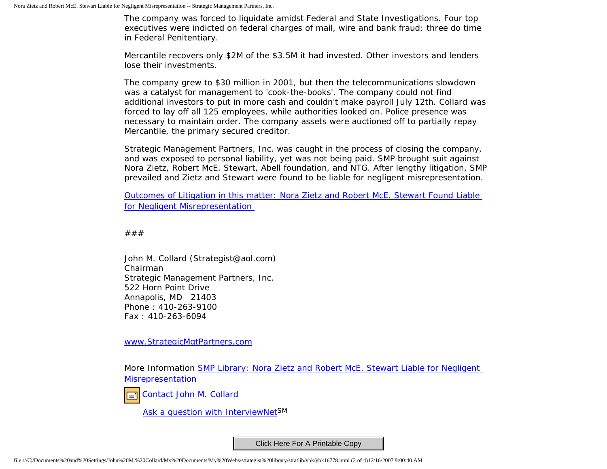The company was forced to liquidate amidst Federal and State Investigations. Four top executives were indicted on federal charges of mail, wire and bank fraud; three do time in Federal Penitentiary.

Mercantile recovers only \$2M of the \$3.5M it had invested. Other investors and lenders lose their investments.

The company grew to \$30 million in 2001, but then the telecommunications slowdown was a catalyst for management to 'cook-the-books'. The company could not find additional investors to put in more cash and couldn't make payroll July 12th. Collard was forced to lay off all 125 employees, while authorities looked on. Police presence was necessary to maintain order. The company assets were auctioned off to partially repay Mercantile, the primary secured creditor.

Strategic Management Partners, Inc. was caught in the process of closing the company, and was exposed to personal liability, yet was not being paid. SMP brought suit against Nora Zietz, Robert McE. Stewart, Abell foundation, and NTG. After lengthy litigation, SMP prevailed and Zietz and Stewart were found to be liable for negligent misrepresentation.

[Outcomes of Litigation in this matter: Nora Zietz and Robert McE. Stewart Found Liable](http://members.aol.com/stratlib/dirpress.html)  [for Negligent Misrepresentation](http://members.aol.com/stratlib/dirpress.html) 

###

John M. Collard (Strategist@aol.com) Chairman Strategic Management Partners, Inc. 522 Horn Point Drive Annapolis, MD 21403 Phone : 410-263-9100 Fax : 410-263-6094

[www.StrategicMgtPartners.com](http://www.strategicmgtpartners.com/)

More Information [SMP Library: Nora Zietz and Robert McE. Stewart Liable for Negligent](http://members.aol.com/stratlib/dirpress.html) [Misrepresentation](http://members.aol.com/stratlib/dirpress.html)

[Contact John M. Collard](http://www.expertclick.com/expertClick/contact/default.cfm?Action=ContactExpert&GroupID=1016)

[Ask a question with InterviewNetS](http://www.expertclick.com/expertClick/contact/default.cfm?GroupID=1016)M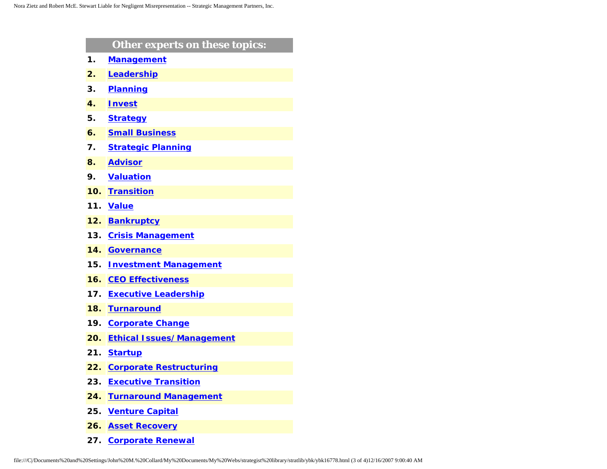|     | Other experts on these topics:   |
|-----|----------------------------------|
| 1.  | <b>Management</b>                |
| 2.  | Leadership                       |
| 3.  | <b>Planning</b>                  |
| 4.  | <b>Invest</b>                    |
| 5.  | <b>Strategy</b>                  |
| 6.  | <b>Small Business</b>            |
| 7.  | <b>Strategic Planning</b>        |
| 8.  | <b>Advisor</b>                   |
| 9.  | <b>Valuation</b>                 |
| 10. | <b>Transition</b>                |
| 11. | <b>Value</b>                     |
| 12. | <b>Bankruptcy</b>                |
| 13. | <b>Crisis Management</b>         |
| 14. | <b>Governance</b>                |
| 15. | <b>Investment Management</b>     |
| 16. | <b>CEO Effectiveness</b>         |
| 17. | <b>Executive Leadership</b>      |
| 18. | <b>Turnaround</b>                |
| 19. | <b>Corporate Change</b>          |
| 20. | <b>Ethical Issues/Management</b> |
| 21. | <b>Startup</b>                   |
| 22. | <b>Corporate Restructuring</b>   |
| 23. | <b>Executive Transition</b>      |
| 24. | <b>Turnaround Management</b>     |
| 25. | <b>Venture Capital</b>           |
| 26. | <b>Asset Recovery</b>            |

**27. [Corporate Renewal](http://www.expertclick.com/search/default.cfm?SearchCriteria=Corporate Renewal)**